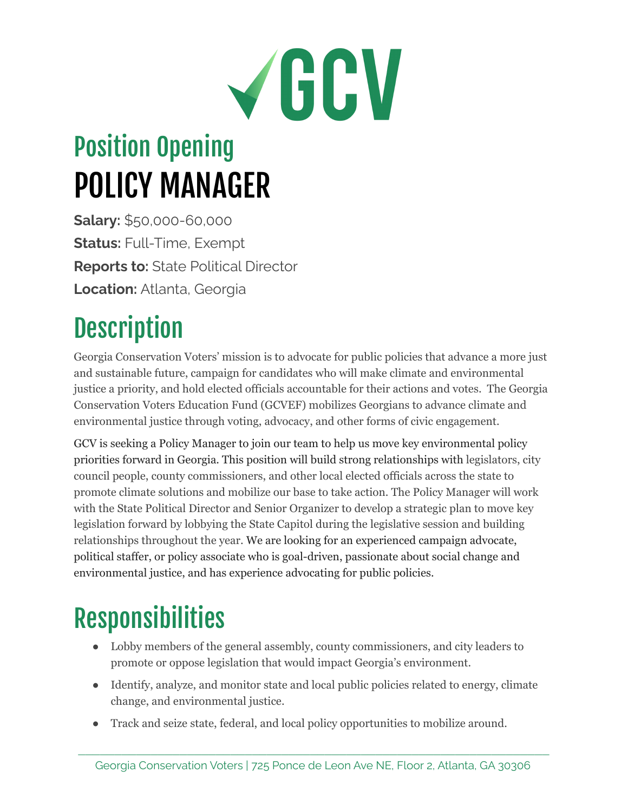# VGCV

## Position Opening POLICY MANAGER

**Salary:** \$50,000-60,000 **Status:** Full-Time, Exempt **Reports to:** State Political Director **Location:** Atlanta, Georgia

## **Description**

Georgia Conservation Voters' mission is to advocate for public policies that advance a more just and sustainable future, campaign for candidates who will make climate and environmental justice a priority, and hold elected officials accountable for their actions and votes. The Georgia Conservation Voters Education Fund (GCVEF) mobilizes Georgians to advance climate and environmental justice through voting, advocacy, and other forms of civic engagement.

GCV is seeking a Policy Manager to join our team to help us move key environmental policy priorities forward in Georgia. This position will build strong relationships with legislators, city council people, county commissioners, and other local elected officials across the state to promote climate solutions and mobilize our base to take action. The Policy Manager will work with the State Political Director and Senior Organizer to develop a strategic plan to move key legislation forward by lobbying the State Capitol during the legislative session and building relationships throughout the year. We are looking for an experienced campaign advocate, political staffer, or policy associate who is goal-driven, passionate about social change and environmental justice, and has experience advocating for public policies.

### Responsibilities

- Lobby members of the general assembly, county commissioners, and city leaders to promote or oppose legislation that would impact Georgia's environment.
- Identify, analyze, and monitor state and local public policies related to energy, climate change, and environmental justice.
- Track and seize state, federal, and local policy opportunities to mobilize around.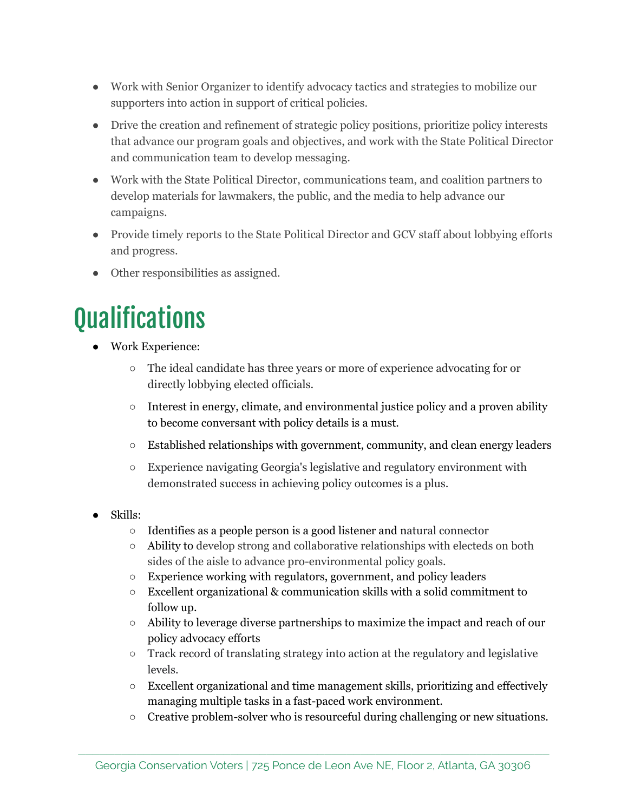- Work with Senior Organizer to identify advocacy tactics and strategies to mobilize our supporters into action in support of critical policies.
- Drive the creation and refinement of strategic policy positions, prioritize policy interests that advance our program goals and objectives, and work with the State Political Director and communication team to develop messaging.
- Work with the State Political Director, communications team, and coalition partners to develop materials for lawmakers, the public, and the media to help advance our campaigns.
- Provide timely reports to the State Political Director and GCV staff about lobbying efforts and progress.
- Other responsibilities as assigned.

#### **Qualifications**

- Work Experience:
	- The ideal candidate has three years or more of experience advocating for or directly lobbying elected officials.
	- $\circ$  Interest in energy, climate, and environmental justice policy and a proven ability to become conversant with policy details is a must.
	- Established relationships with government, community, and clean energy leaders
	- Experience navigating Georgia's legislative and regulatory environment with demonstrated success in achieving policy outcomes is a plus.
- Skills:
	- Identifies as a people person is a good listener and natural connector
	- Ability to develop strong and collaborative relationships with electeds on both sides of the aisle to advance pro-environmental policy goals.
	- Experience working with regulators, government, and policy leaders
	- $\circ$  Excellent organizational & communication skills with a solid commitment to follow up.
	- Ability to leverage diverse partnerships to maximize the impact and reach of our policy advocacy efforts
	- Track record of translating strategy into action at the regulatory and legislative levels.
	- Excellent organizational and time management skills, prioritizing and effectively managing multiple tasks in a fast-paced work environment.
	- $\circ$  Creative problem-solver who is resourceful during challenging or new situations.